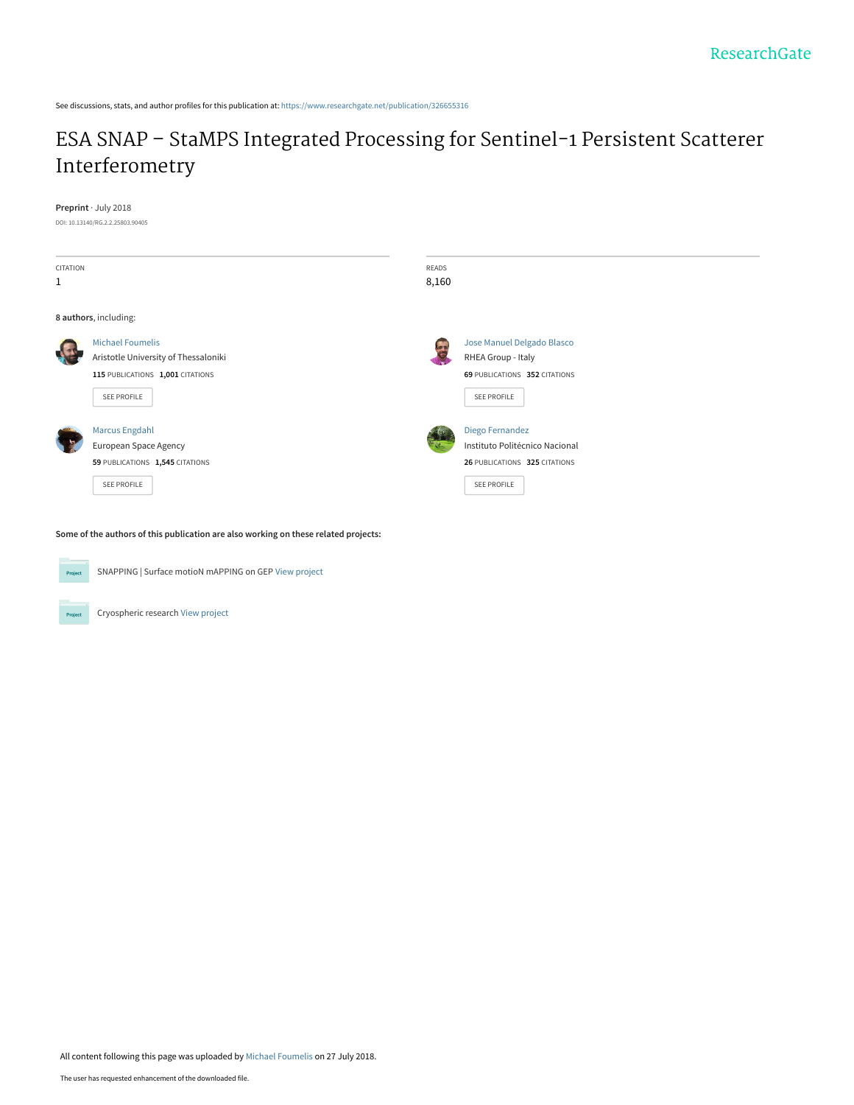See discussions, stats, and author profiles for this publication at: [https://www.researchgate.net/publication/326655316](https://www.researchgate.net/publication/326655316_ESA_SNAP_-_StaMPS_Integrated_Processing_for_Sentinel-1_Persistent_Scatterer_Interferometry?enrichId=rgreq-42b97f8656c235f9c9f00a21c7f6c34d-XXX&enrichSource=Y292ZXJQYWdlOzMyNjY1NTMxNjtBUzo2NTMxMzk0NDMxOTU5MDRAMTUzMjczMTk4NjEzNg%3D%3D&el=1_x_2&_esc=publicationCoverPdf)

# [ESA SNAP – StaMPS Integrated Processing for Sentinel-1 Persistent Scatterer](https://www.researchgate.net/publication/326655316_ESA_SNAP_-_StaMPS_Integrated_Processing_for_Sentinel-1_Persistent_Scatterer_Interferometry?enrichId=rgreq-42b97f8656c235f9c9f00a21c7f6c34d-XXX&enrichSource=Y292ZXJQYWdlOzMyNjY1NTMxNjtBUzo2NTMxMzk0NDMxOTU5MDRAMTUzMjczMTk4NjEzNg%3D%3D&el=1_x_3&_esc=publicationCoverPdf) Interferometry

**Preprint** · July 2018

DOI: 10.13140/RG.2.2.25803.90405

| CITATION<br>$\mathbf{1}$ |                                                                                                     | READS<br>8,160 |                                                                                                   |  |  |  |
|--------------------------|-----------------------------------------------------------------------------------------------------|----------------|---------------------------------------------------------------------------------------------------|--|--|--|
| 8 authors, including:    |                                                                                                     |                |                                                                                                   |  |  |  |
|                          | <b>Michael Foumelis</b><br>Aristotle University of Thessaloniki<br>115 PUBLICATIONS 1,001 CITATIONS | l.             | Jose Manuel Delgado Blasco<br>RHEA Group - Italy<br>69 PUBLICATIONS 352 CITATIONS                 |  |  |  |
|                          | SEE PROFILE<br><b>Marcus Engdahl</b><br>European Space Agency<br>59 PUBLICATIONS 1,545 CITATIONS    |                | SEE PROFILE<br>Diego Fernandez<br>Instituto Politécnico Nacional<br>26 PUBLICATIONS 325 CITATIONS |  |  |  |
|                          | SEE PROFILE                                                                                         |                | SEE PROFILE                                                                                       |  |  |  |

**Some of the authors of this publication are also working on these related projects:**



Project

SNAPPING | Surface motioN mAPPING on GEP [View project](https://www.researchgate.net/project/SNAPPING-Surface-motioN-mAPPING-on-GEP?enrichId=rgreq-42b97f8656c235f9c9f00a21c7f6c34d-XXX&enrichSource=Y292ZXJQYWdlOzMyNjY1NTMxNjtBUzo2NTMxMzk0NDMxOTU5MDRAMTUzMjczMTk4NjEzNg%3D%3D&el=1_x_9&_esc=publicationCoverPdf)

Cryospheric research [View project](https://www.researchgate.net/project/Cryospheric-research?enrichId=rgreq-42b97f8656c235f9c9f00a21c7f6c34d-XXX&enrichSource=Y292ZXJQYWdlOzMyNjY1NTMxNjtBUzo2NTMxMzk0NDMxOTU5MDRAMTUzMjczMTk4NjEzNg%3D%3D&el=1_x_9&_esc=publicationCoverPdf)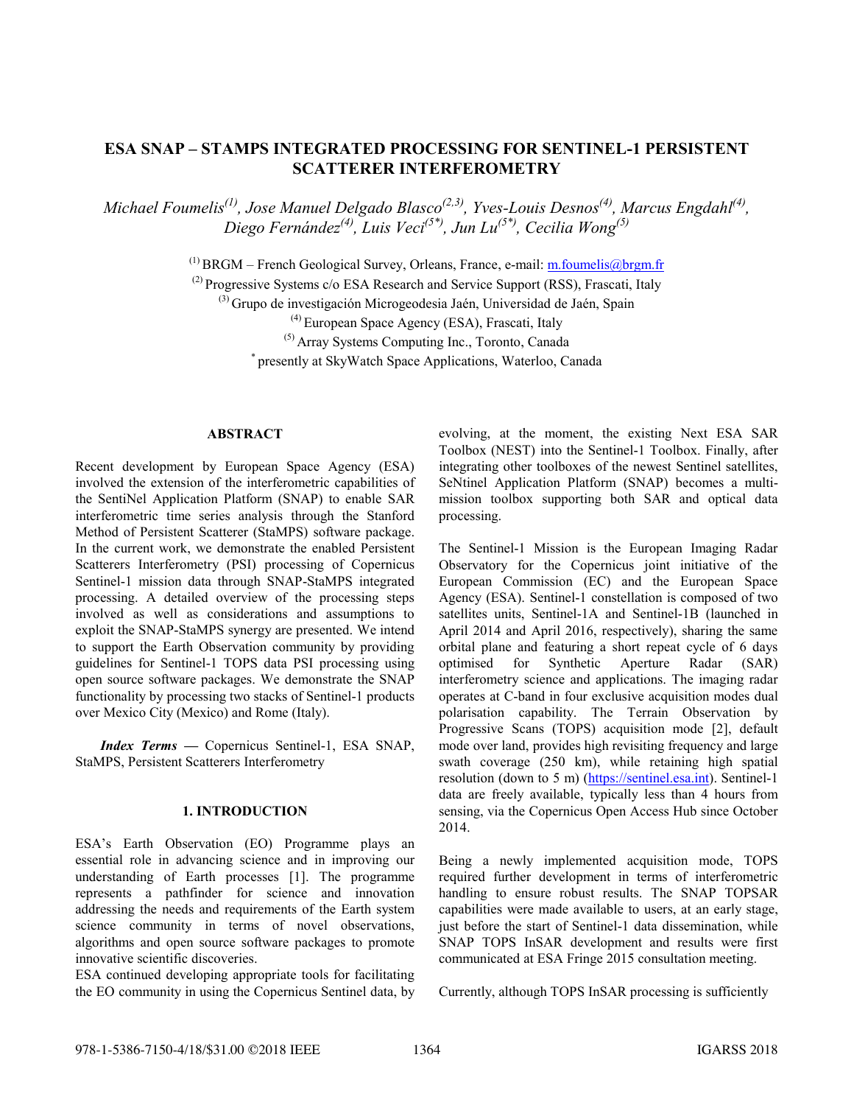# **ESA SNAP – STAMPS INTEGRATED PROCESSING FOR SENTINEL-1 PERSISTENT SCATTERER INTERFEROMETRY**

*Michael Foumelis(1) , Jose Manuel Delgado Blasco(2,3) , Yves-Louis Desnos(4) , Marcus Engdahl(4) , Diego Fernández(4) , Luis Veci(5\*), Jun Lu(5\*), Cecilia Wong(5)*

 $<sup>(1)</sup> BRGM - French Geological Survey, Orleans, France, e-mail: m. foumelis@brgm.fr.$ </sup>

(2) Progressive Systems c/o ESA Research and Service Support (RSS), Frascati, Italy

 $^{(3)}$  Grupo de investigación Microgeodesia Jaén, Universidad de Jaén, Spain

(4) European Space Agency (ESA), Frascati, Italy

(5) Array Systems Computing Inc., Toronto, Canada

\* presently at SkyWatch Space Applications, Waterloo, Canada

#### **ABSTRACT**

Recent development by European Space Agency (ESA) involved the extension of the interferometric capabilities of the SentiNel Application Platform (SNAP) to enable SAR interferometric time series analysis through the Stanford Method of Persistent Scatterer (StaMPS) software package. In the current work, we demonstrate the enabled Persistent Scatterers Interferometry (PSI) processing of Copernicus Sentinel-1 mission data through SNAP-StaMPS integrated processing. A detailed overview of the processing steps involved as well as considerations and assumptions to exploit the SNAP-StaMPS synergy are presented. We intend to support the Earth Observation community by providing guidelines for Sentinel-1 TOPS data PSI processing using open source software packages. We demonstrate the SNAP functionality by processing two stacks of Sentinel-1 products over Mexico City (Mexico) and Rome (Italy).

*Index Terms —* Copernicus Sentinel-1, ESA SNAP, StaMPS, Persistent Scatterers Interferometry

#### **1. INTRODUCTION**

ESA's Earth Observation (EO) Programme plays an essential role in advancing science and in improving our understanding of Earth processes [1]. The programme represents a pathfinder for science and innovation addressing the needs and requirements of the Earth system science community in terms of novel observations, algorithms and open source software packages to promote innovative scientific discoveries.

ESA continued developing appropriate tools for facilitating the EO community in using the Copernicus Sentinel data, by

evolving, at the moment, the existing Next ESA SAR Toolbox (NEST) into the Sentinel-1 Toolbox. Finally, after integrating other toolboxes of the newest Sentinel satellites, SeNtinel Application Platform (SNAP) becomes a multimission toolbox supporting both SAR and optical data processing.

The Sentinel-1 Mission is the European Imaging Radar Observatory for the Copernicus joint initiative of the European Commission (EC) and the European Space Agency (ESA). Sentinel-1 constellation is composed of two satellites units, Sentinel-1A and Sentinel-1B (launched in April 2014 and April 2016, respectively), sharing the same orbital plane and featuring a short repeat cycle of 6 days optimised for Synthetic Aperture Radar (SAR) interferometry science and applications. The imaging radar operates at C-band in four exclusive acquisition modes dual polarisation capability. The Terrain Observation by Progressive Scans (TOPS) acquisition mode [2], default mode over land, provides high revisiting frequency and large swath coverage (250 km), while retaining high spatial resolution (down to 5 m) (https://sentinel.esa.int). Sentinel-1 data are freely available, typically less than 4 hours from sensing, via the Copernicus Open Access Hub since October 2014.

Being a newly implemented acquisition mode, TOPS required further development in terms of interferometric handling to ensure robust results. The SNAP TOPSAR capabilities were made available to users, at an early stage, just before the start of Sentinel-1 data dissemination, while SNAP TOPS InSAR development and results were first communicated at ESA Fringe 2015 consultation meeting.

Currently, although TOPS InSAR processing is sufficiently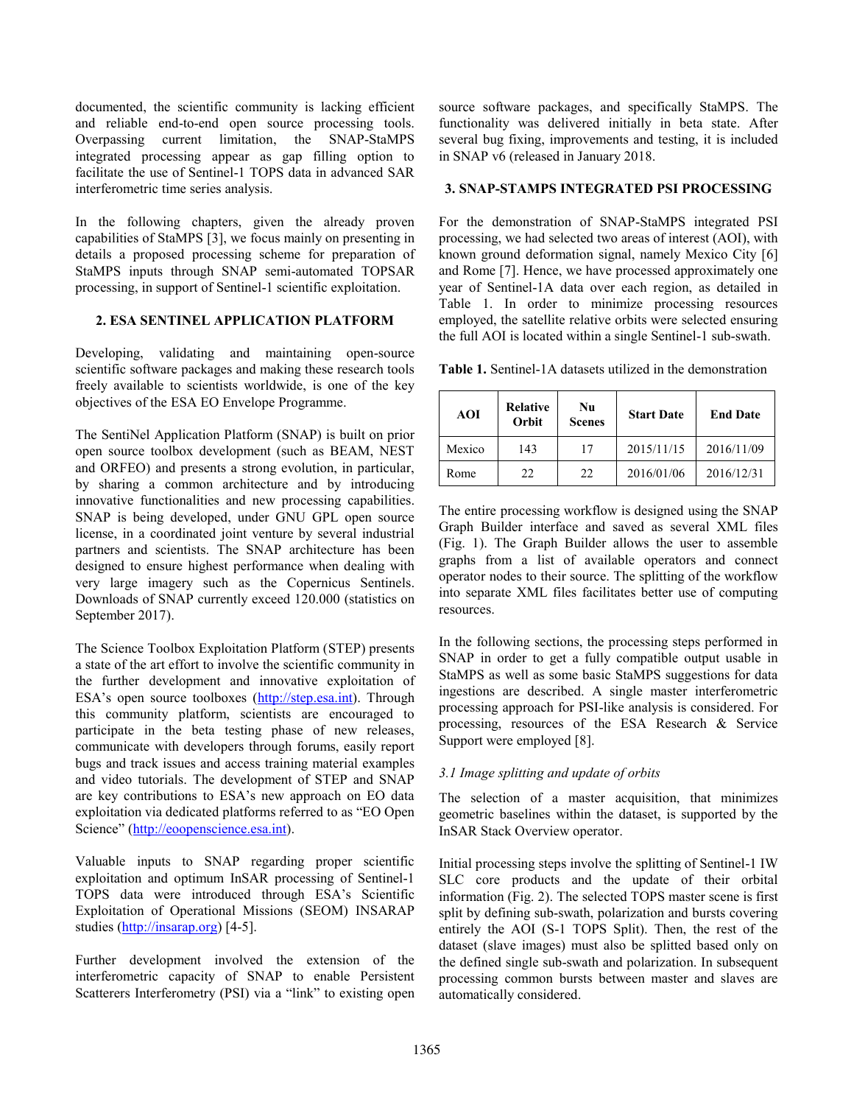documented, the scientific community is lacking efficient and reliable end-to-end open source processing tools. Overpassing current limitation, the SNAP-StaMPS integrated processing appear as gap filling option to facilitate the use of Sentinel-1 TOPS data in advanced SAR interferometric time series analysis.

In the following chapters, given the already proven capabilities of StaMPS [3], we focus mainly on presenting in details a proposed processing scheme for preparation of StaMPS inputs through SNAP semi-automated TOPSAR processing, in support of Sentinel-1 scientific exploitation.

#### **2. ESA SENTINEL APPLICATION PLATFORM**

Developing, validating and maintaining open-source scientific software packages and making these research tools freely available to scientists worldwide, is one of the key objectives of the ESA EO Envelope Programme.

The SentiNel Application Platform (SNAP) is built on prior open source toolbox development (such as BEAM, NEST and ORFEO) and presents a strong evolution, in particular, by sharing a common architecture and by introducing innovative functionalities and new processing capabilities. SNAP is being developed, under GNU GPL open source license, in a coordinated joint venture by several industrial partners and scientists. The SNAP architecture has been designed to ensure highest performance when dealing with very large imagery such as the Copernicus Sentinels. Downloads of SNAP currently exceed 120.000 (statistics on September 2017).

The Science Toolbox Exploitation Platform (STEP) presents a state of the art effort to involve the scientific community in the further development and innovative exploitation of ESA's open source toolboxes (http://step.esa.int). Through this community platform, scientists are encouraged to participate in the beta testing phase of new releases, communicate with developers through forums, easily report bugs and track issues and access training material examples and video tutorials. The development of STEP and SNAP are key contributions to ESA's new approach on EO data exploitation via dedicated platforms referred to as "EO Open Science" (http://eoopenscience.esa.int).

Valuable inputs to SNAP regarding proper scientific exploitation and optimum InSAR processing of Sentinel-1 TOPS data were introduced through ESA's Scientific Exploitation of Operational Missions (SEOM) INSARAP studies (http://insarap.org) [4-5].

Further development involved the extension of the interferometric capacity of SNAP to enable Persistent Scatterers Interferometry (PSI) via a "link" to existing open source software packages, and specifically StaMPS. The functionality was delivered initially in beta state. After several bug fixing, improvements and testing, it is included in SNAP v6 (released in January 2018.

## **3. SNAP-STAMPS INTEGRATED PSI PROCESSING**

For the demonstration of SNAP-StaMPS integrated PSI processing, we had selected two areas of interest (AOI), with known ground deformation signal, namely Mexico City [6] and Rome [7]. Hence, we have processed approximately one year of Sentinel-1A data over each region, as detailed in Table 1. In order to minimize processing resources employed, the satellite relative orbits were selected ensuring the full AOI is located within a single Sentinel-1 sub-swath.

**Table 1.** Sentinel-1A datasets utilized in the demonstration

| <b>AOI</b> | <b>Relative</b><br>Orbit | Nu<br><b>Scenes</b> | <b>Start Date</b> | <b>End Date</b> |
|------------|--------------------------|---------------------|-------------------|-----------------|
| Mexico     | 143                      | 17                  | 2015/11/15        | 2016/11/09      |
| Rome       | 22                       | 22                  | 2016/01/06        | 2016/12/31      |

The entire processing workflow is designed using the SNAP Graph Builder interface and saved as several XML files (Fig. 1). The Graph Builder allows the user to assemble graphs from a list of available operators and connect operator nodes to their source. The splitting of the workflow into separate XML files facilitates better use of computing resources.

In the following sections, the processing steps performed in SNAP in order to get a fully compatible output usable in StaMPS as well as some basic StaMPS suggestions for data ingestions are described. A single master interferometric processing approach for PSI-like analysis is considered. For processing, resources of the ESA Research & Service Support were employed [8].

# *3.1 Image splitting and update of orbits*

The selection of a master acquisition, that minimizes geometric baselines within the dataset, is supported by the InSAR Stack Overview operator.

Initial processing steps involve the splitting of Sentinel-1 IW SLC core products and the update of their orbital information (Fig. 2). The selected TOPS master scene is first split by defining sub-swath, polarization and bursts covering entirely the AOI (S-1 TOPS Split). Then, the rest of the dataset (slave images) must also be splitted based only on the defined single sub-swath and polarization. In subsequent processing common bursts between master and slaves are automatically considered.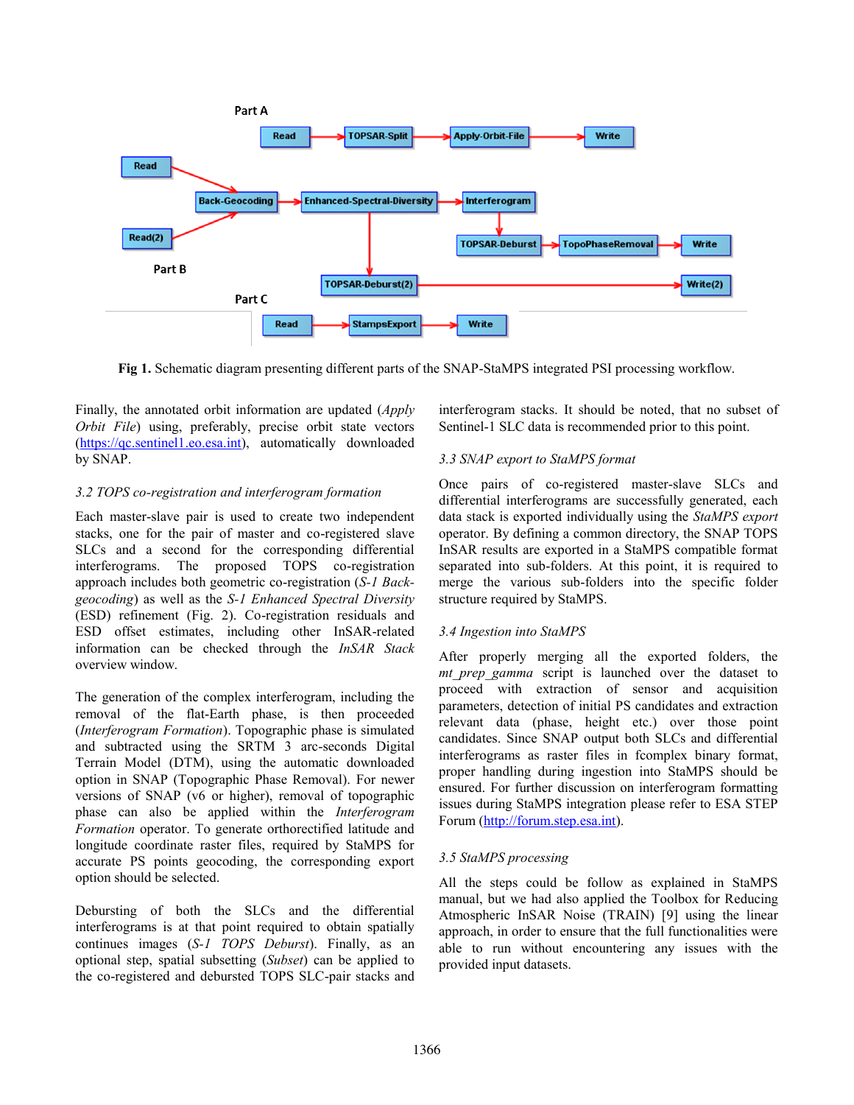

**Fig 1.** Schematic diagram presenting different parts of the SNAP-StaMPS integrated PSI processing workflow.

Finally, the annotated orbit information are updated (*Apply Orbit File*) using, preferably, precise orbit state vectors (https://qc.sentinel1.eo.esa.int), automatically downloaded by SNAP.

## *3.2 TOPS co-registration and interferogram formation*

Each master-slave pair is used to create two independent stacks, one for the pair of master and co-registered slave SLCs and a second for the corresponding differential interferograms. The proposed TOPS co-registration approach includes both geometric co-registration (*S-1 Backgeocoding*) as well as the *S-1 Enhanced Spectral Diversity* (ESD) refinement (Fig. 2). Co-registration residuals and ESD offset estimates, including other InSAR-related information can be checked through the *InSAR Stack* overview window.

The generation of the complex interferogram, including the removal of the flat-Earth phase, is then proceeded (*Interferogram Formation*). Topographic phase is simulated and subtracted using the SRTM 3 arc-seconds Digital Terrain Model (DTM), using the automatic downloaded option in SNAP (Topographic Phase Removal). For newer versions of SNAP (v6 or higher), removal of topographic phase can also be applied within the *Interferogram Formation* operator. To generate orthorectified latitude and longitude coordinate raster files, required by StaMPS for accurate PS points geocoding, the corresponding export option should be selected.

Debursting of both the SLCs and the differential interferograms is at that point required to obtain spatially continues images (*S-1 TOPS Deburst*). Finally, as an optional step, spatial subsetting (*Subset*) can be applied to the co-registered and debursted TOPS SLC-pair stacks and

interferogram stacks. It should be noted, that no subset of Sentinel-1 SLC data is recommended prior to this point.

# *3.3 SNAP export to StaMPS format*

Once pairs of co-registered master-slave SLCs and differential interferograms are successfully generated, each data stack is exported individually using the *StaMPS export* operator. By defining a common directory, the SNAP TOPS InSAR results are exported in a StaMPS compatible format separated into sub-folders. At this point, it is required to merge the various sub-folders into the specific folder structure required by StaMPS.

## *3.4 Ingestion into StaMPS*

After properly merging all the exported folders, the *mt\_prep\_gamma* script is launched over the dataset to proceed with extraction of sensor and acquisition parameters, detection of initial PS candidates and extraction relevant data (phase, height etc.) over those point candidates. Since SNAP output both SLCs and differential interferograms as raster files in fcomplex binary format, proper handling during ingestion into StaMPS should be ensured. For further discussion on interferogram formatting issues during StaMPS integration please refer to ESA STEP Forum (http://forum.step.esa.int).

## *3.5 StaMPS processing*

All the steps could be follow as explained in StaMPS manual, but we had also applied the Toolbox for Reducing Atmospheric InSAR Noise (TRAIN) [9] using the linear approach, in order to ensure that the full functionalities were able to run without encountering any issues with the provided input datasets.